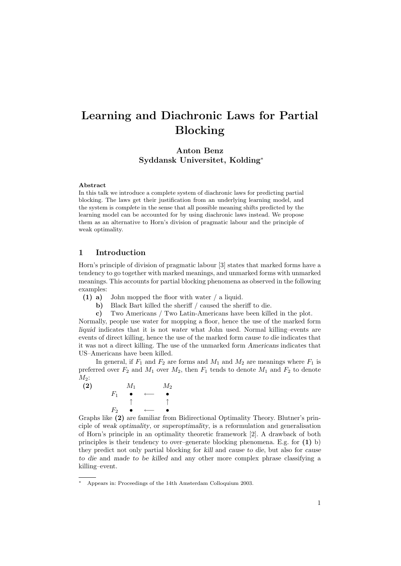# Learning and Diachronic Laws for Partial Blocking

Anton Benz Syddansk Universitet, Kolding<sup>∗</sup>

#### Abstract

In this talk we introduce a complete system of diachronic laws for predicting partial blocking. The laws get their justification from an underlying learning model, and the system is complete in the sense that all possible meaning shifts predicted by the learning model can be accounted for by using diachronic laws instead. We propose them as an alternative to Horn's division of pragmatic labour and the principle of weak optimality.

# 1 Introduction

Horn's principle of division of pragmatic labour [3] states that marked forms have a tendency to go together with marked meanings, and unmarked forms with unmarked meanings. This accounts for partial blocking phenomena as observed in the following examples:

- (1) a) John mopped the floor with water / a liquid.
	- b) Black Bart killed the sheriff / caused the sheriff to die.
	- c) Two Americans / Two Latin-Americans have been killed in the plot.

Normally, people use water for mopping a floor, hence the use of the marked form liquid indicates that it is not water what John used. Normal killing–events are events of direct killing, hence the use of the marked form cause to die indicates that it was not a direct killing. The use of the unmarked form Americans indicates that US–Americans have been killed.

In general, if  $F_1$  and  $F_2$  are forms and  $M_1$  and  $M_2$  are meanings where  $F_1$  is preferred over  $F_2$  and  $M_1$  over  $M_2$ , then  $F_1$  tends to denote  $M_1$  and  $F_2$  to denote  $M_2$ :

(2) 
$$
M_1
$$
  $M_2$   
\n $F_1 \bullet \leftarrow \bullet$   
\n $\uparrow \uparrow$   
\n $F_2 \bullet \leftarrow \bullet$ 

Graphs like (2) are familiar from Bidirectional Optimality Theory. Blutner's principle of weak optimality, or superoptimality, is a reformulation and generalisation of Horn's principle in an optimality theoretic framework [2]. A drawback of both principles is their tendency to over–generate blocking phenomena. E.g. for (1) b) they predict not only partial blocking for kill and cause to die, but also for cause to die and made to be killed and any other more complex phrase classifying a killing–event.

<sup>∗</sup> Appears in: Proceedings of the 14th Amsterdam Colloquium 2003.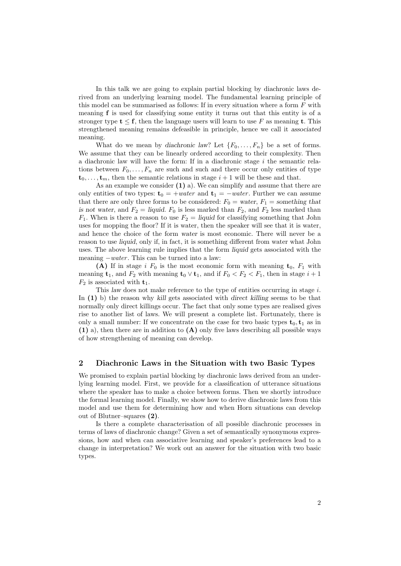In this talk we are going to explain partial blocking by diachronic laws derived from an underlying learning model. The fundamental learning principle of this model can be summarised as follows: If in every situation where a form  $F$  with meaning f is used for classifying some entity it turns out that this entity is of a stronger type  $t \leq f$ , then the language users will learn to use F as meaning t. This strengthened meaning remains defeasible in principle, hence we call it associated meaning.

What do we mean by diachronic law? Let  $\{F_0, \ldots, F_n\}$  be a set of forms. We assume that they can be linearly ordered according to their complexity. Then a diachronic law will have the form: If in a diachronic stage i the semantic relations between  $F_0, \ldots, F_n$  are such and such and there occur only entities of type  $t_0, \ldots, t_m$ , then the semantic relations in stage  $i + 1$  will be these and that.

As an example we consider  $(1)$  a). We can simplify and assume that there are only entities of two types:  $t_0 = +water$  and  $t_1 = -water$ . Further we can assume that there are only three forms to be considered:  $F_0 = \text{water}, F_1 = \text{something that}$ is not water, and  $F_2 =$  liquid.  $F_0$  is less marked than  $F_2$ , and  $F_2$  less marked than  $F_1$ . When is there a reason to use  $F_2 =$  liquid for classifying something that John uses for mopping the floor? If it is water, then the speaker will see that it is water, and hence the choice of the form water is most economic. There will never be a reason to use liquid, only if, in fact, it is something different from water what John uses. The above learning rule implies that the form liquid gets associated with the meaning  $-water$ . This can be turned into a law:

(A) If in stage i  $F_0$  is the most economic form with meaning  $t_0$ ,  $F_1$  with meaning  $t_1$ , and  $F_2$  with meaning  $t_0 \vee t_1$ , and if  $F_0 < F_2 < F_1$ , then in stage  $i+1$  $F_2$  is associated with  $t_1$ .

This law does not make reference to the type of entities occurring in stage  $i$ . In (1) b) the reason why kill gets associated with direct killing seems to be that normally only direct killings occur. The fact that only some types are realised gives rise to another list of laws. We will present a complete list. Fortunately, there is only a small number: If we concentrate on the case for two basic types  $t_0, t_1$  as in  $(1)$  a), then there are in addition to  $(A)$  only five laws describing all possible ways of how strengthening of meaning can develop.

## 2 Diachronic Laws in the Situation with two Basic Types

We promised to explain partial blocking by diachronic laws derived from an underlying learning model. First, we provide for a classification of utterance situations where the speaker has to make a choice between forms. Then we shortly introduce the formal learning model. Finally, we show how to derive diachronic laws from this model and use them for determining how and when Horn situations can develop out of Blutner–squares (2).

Is there a complete characterisation of all possible diachronic processes in terms of laws of diachronic change? Given a set of semantically synonymous expressions, how and when can associative learning and speaker's preferences lead to a change in interpretation? We work out an answer for the situation with two basic types.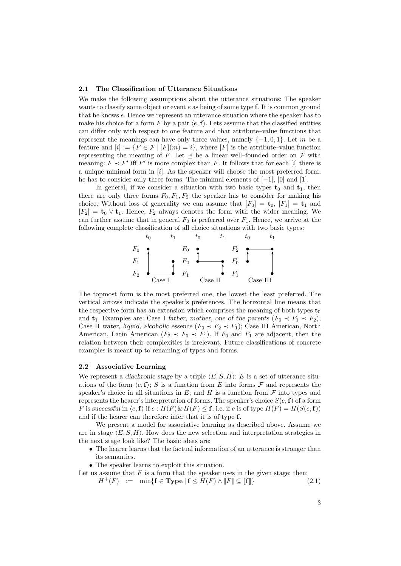#### 2.1 The Classification of Utterance Situations

We make the following assumptions about the utterance situations: The speaker wants to classify some object or event  $e$  as being of some type  $f$ . It is common ground that he knows e. Hence we represent an utterance situation where the speaker has to make his choice for a form F by a pair  $\langle e, \mathbf{f} \rangle$ . Lets assume that the classified entities can differ only with respect to one feature and that attribute–value functions that represent the meanings can have only three values, namely  $\{-1,0,1\}$ . Let m be a feature and  $[i] := \{F \in \mathcal{F} \mid [F](m) = i\}$ , where  $[F]$  is the attribute–value function representing the meaning of F. Let  $\preceq$  be a linear well–founded order on F with meaning:  $F \prec F'$  iff  $F'$  is more complex than F. It follows that for each [i] there is a unique minimal form in  $[i]$ . As the speaker will choose the most preferred form, he has to consider only three forms: The minimal elements of [−1], [0] and [1].

In general, if we consider a situation with two basic types  $t_0$  and  $t_1$ , then there are only three forms  $F_0, F_1, F_2$  the speaker has to consider for making his choice. Without loss of generality we can assume that  $[F_0] = \mathbf{t}_0$ ,  $[F_1] = \mathbf{t}_1$  and  $[F_2] = \mathbf{t}_0 \vee \mathbf{t}_1$ . Hence,  $F_2$  always denotes the form with the wider meaning. We can further assume that in general  $F_0$  is preferred over  $F_1$ . Hence, we arrive at the following complete classification of all choice situations with two basic types:



The topmost form is the most preferred one, the lowest the least preferred. The vertical arrows indicate the speaker's preferences. The horizontal line means that the respective form has an extension which comprises the meaning of both types  $t_0$ and  $t_1$ . Examples are: Case I father, mother, one of the parents  $(F_0 \prec F_1 \prec F_2)$ ; Case II water, liquid, alcoholic essence  $(F_0 \prec F_2 \prec F_1)$ ; Case III American, North American, Latin American ( $F_2 \prec F_0 \prec F_1$ ). If  $F_0$  and  $F_1$  are adjacent, then the relation between their complexities is irrelevant. Future classifications of concrete examples is meant up to renaming of types and forms.

### 2.2 Associative Learning

We represent a diachronic stage by a triple  $\langle E, S, H \rangle$ : E is a set of utterance situations of the form  $\langle e, \mathbf{f} \rangle$ ; S is a function from E into forms F and represents the speaker's choice in all situations in E; and H is a function from  $\mathcal F$  into types and represents the hearer's interpretation of forms. The speaker's choice  $S(e, f)$  of a form F is successful in  $\langle e, f \rangle$  if  $e : H(F) \& H(F) \leq f$ , i.e. if e is of type  $H(F) = H(S(e, f))$ and if the hearer can therefore infer that it is of type f.

We present a model for associative learning as described above. Assume we are in stage  $\langle E, S, H \rangle$ . How does the new selection and interpretation strategies in the next stage look like? The basic ideas are:

- The hearer learns that the factual information of an utterance is stronger than its semantics.
- The speaker learns to exploit this situation.

Let us assume that  $F$  is a form that the speaker uses in the given stage; then:

 $H^+(F) := \min\{\mathbf{f} \in \mathbf{Type} \mid \mathbf{f} \leq H(F) \land \Vert F \Vert \subseteq \Vert \mathbf{f} \Vert\}$  (2.1)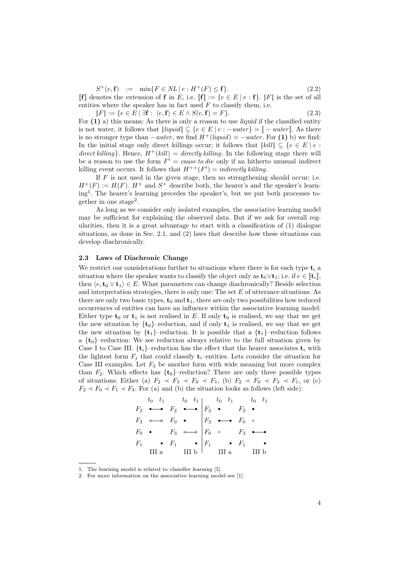$S^+(e, \mathbf{f}) \quad := \quad \min\{F \in NL \, | \, e : H^+(F) \leq \mathbf{f}\}.$  (2.2)

 $\llbracket f \rrbracket$  denotes the extension of f in E, i.e.  $\llbracket f \rrbracket := \{e \in E \mid e : f\}$ .  $\llbracket F \rrbracket$  is the set of all entities where the speaker has in fact used  $F$  to classify them, i.e.

$$
||F|| := \{e \in E \mid \exists \mathbf{f} : \langle e, \mathbf{f} \rangle \in E \land S(e, \mathbf{f}) = F\}.
$$
\n
$$
(2.3)
$$

For  $(1)$  a) this means: As there is only a reason to use liquid if the classified entity is not water, it follows that  $\|\textit{liquid}\| \subseteq \{e \in E \mid e : -water\} = \mathbb{I} - water\}.$  As there is no stronger type than  $-water$ , we find  $H^+(liquid) = -water$ . For (1) b) we find: In the initial stage only direct killings occur; it follows that  $||kill|| \subseteq \{e \in E \mid e :$ direct killing}. Hence,  $H^+(kill) = directly$  killing. In the following stage there will be a reason to use the form  $F' = \text{cause to die}$  only if an hitherto unusual indirect killing event occurs. It follows that  $H^{++}(F') = indirectly \; killing.$ 

If  $F$  is not used in the given stage, then no strengthening should occur; i.e.  $H^+(F) := H(F)$ .  $H^+$  and  $S^+$  describe both, the hearer's and the speaker's learning<sup>1</sup> . The hearer's learning precedes the speaker's, but we put both processes together in one stage<sup>2</sup>.

As long as we consider only isolated examples, the associative learning model may be sufficient for explaining the observed data. But if we ask for overall regularities, then it is a great advantage to start with a classification of (1) dialogue situations, as done in Sec. 2.1, and (2) laws that describe how these situations can develop diachronically.

#### 2.3 Laws of Diachronic Change

We restrict our considerations further to situations where there is for each type  $t_i$  a situation where the speaker wants to classify the object only as  $\mathbf{t}_0 \vee \mathbf{t}_1$ ; i.e. if  $e \in [\![ \mathbf{t}_i ]\!]$ , then  $\langle e, t_0 \vee t_1 \rangle \in E$ . What parameters can change diachronically? Beside selection and interpretation strategies, there is only one: The set  $E$  of utterance situations. As there are only two basic types,  $t_0$  and  $t_1$ , there are only two possibilities how reduced occurrences of entities can have an influence within the associative learning model: Either type  $t_0$  or  $t_1$  is not realised in E. If only  $t_0$  is realised, we say that we get the new situation by  $\{t_0\}$ -reduction, and if only  $t_1$  is realised, we say that we get the new situation by  $\{t_1\}$ –reduction. It is possible that a  $\{t_1\}$ –reduction follows a  $\{t_0\}$ –reduction: We see reduction always relative to the full situation given by Case I to Case III.  $\{t_i\}$ –reduction has the effect that the hearer associates  $t_i$  with the lightest form  $F_i$  that could classify  $t_i$ –entities. Lets consider the situation for Case III examples. Let  $F_3$  be another form with wide meaning but more complex than  $F_2$ . Which effects has  $\{t_0\}$ -reduction? There are only three possible types of situations: Either (a)  $F_2 \prec F_3 \prec F_0 \prec F_1$ , (b)  $F_2 \prec F_0 \prec F_3 \prec F_1$ , or (c)  $F_2 \prec F_0 \prec F_1 \prec F_3$ . For (a) and (b) the situation looks as follows (left side):

r ❜❜ r F1 F0 F3 III a t<sup>0</sup> t<sup>1</sup> F rr 2 r ❜❜ r F1 F0 F3 III b t<sup>0</sup> t<sup>1</sup> F rr 2 r F1 F0 F3 III a t<sup>0</sup> t<sup>1</sup> F r 2 r F1 F0 F3 III b t<sup>0</sup> t<sup>1</sup> F r 2 r ❜ r ❜ rr

<sup>1.</sup> The learning model is related to classifier learning [5].

<sup>2.</sup> For more information on the associative learning model see [1].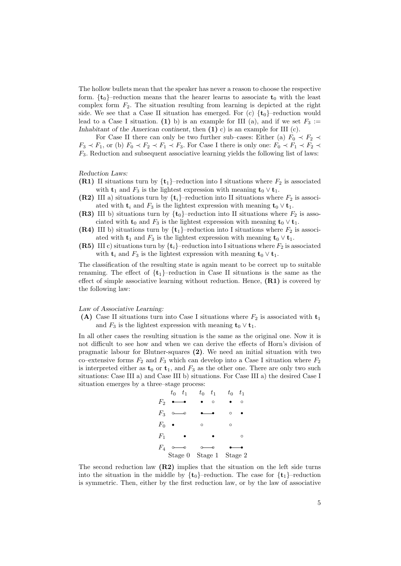The hollow bullets mean that the speaker has never a reason to choose the respective form.  $\{t_0\}$ –reduction means that the hearer learns to associate  $t_0$  with the least complex form  $F_2$ . The situation resulting from learning is depicted at the right side. We see that a Case II situation has emerged. For (c)  $\{t_0\}$ -reduction would lead to a Case I situation. (1) b) is an example for III (a), and if we set  $F_3 :=$ Inhabitant of the American continent, then  $(1)$  c) is an example for III (c).

For Case II there can only be two further sub–cases: Either (a)  $F_0 \prec F_2 \prec$  $F_3 \prec F_1$ , or (b)  $F_0 \prec F_2 \prec F_1 \prec F_3$ . For Case I there is only one:  $F_0 \prec F_1 \prec F_2 \prec F_2$  $F_3$ . Reduction and subsequent associative learning yields the following list of laws:

Reduction Laws:

- (R1) II situations turn by  $\{t_1\}$ –reduction into I situations where  $F_2$  is associated with  $t_1$  and  $F_3$  is the lightest expression with meaning  $t_0 \vee t_1$ .
- (R2) III a) situations turn by  $\{t_i\}$ –reduction into II situations where  $F_2$  is associated with  $t_i$  and  $F_3$  is the lightest expression with meaning  $t_0 \vee t_1$ .
- (R3) III b) situations turn by  $\{t_0\}$ –reduction into II situations where  $F_2$  is associated with  $t_0$  and  $F_3$  is the lightest expression with meaning  $t_0 \vee t_1$ .
- (R4) III b) situations turn by  $\{t_1\}$ -reduction into I situations where  $F_2$  is associated with  $\mathbf{t}_1$  and  $F_3$  is the lightest expression with meaning  $\mathbf{t}_0 \vee \mathbf{t}_1$ .
- (R5) III c) situations turn by  $\{t_i\}$ –reduction into I situations where  $F_2$  is associated with  $\mathbf{t}_i$  and  $F_3$  is the lightest expression with meaning  $\mathbf{t}_0 \vee \mathbf{t}_1$ .

The classification of the resulting state is again meant to be correct up to suitable renaming. The effect of  $\{t_1\}$ –reduction in Case II situations is the same as the effect of simple associative learning without reduction. Hence,  $(R1)$  is covered by the following law:

#### Law of Associative Learning:

(A) Case II situations turn into Case I situations where  $F_2$  is associated with  $t_1$ and  $F_3$  is the lightest expression with meaning  $\mathbf{t}_0 \vee \mathbf{t}_1$ .

In all other cases the resulting situation is the same as the original one. Now it is not difficult to see how and when we can derive the effects of Horn's division of pragmatic labour for Blutner-squares (2). We need an initial situation with two co–extensive forms  $F_2$  and  $F_3$  which can develop into a Case I situation where  $F_2$ is interpreted either as  $t_0$  or  $t_1$ , and  $F_3$  as the other one. There are only two such situations: Case III a) and Case III b) situations. For Case III a) the desired Case I situation emerges by a three–stage process:



The second reduction law  $(R2)$  implies that the situation on the left side turns into the situation in the middle by  $\{t_0\}$ –reduction. The case for  $\{t_1\}$ –reduction is symmetric. Then, either by the first reduction law, or by the law of associative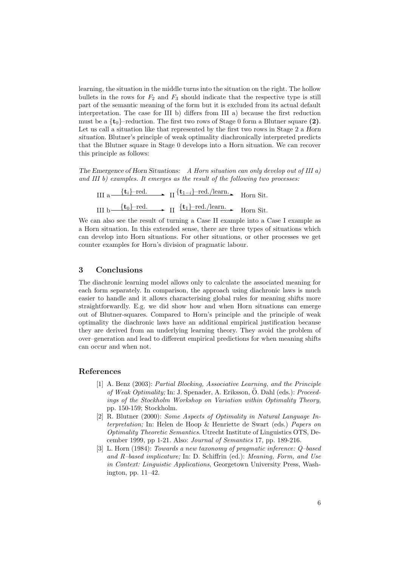learning, the situation in the middle turns into the situation on the right. The hollow bullets in the rows for  $F_2$  and  $F_3$  should indicate that the respective type is still part of the semantic meaning of the form but it is excluded from its actual default interpretation. The case for III b) differs from III a) because the first reduction must be a  $\{t_0\}$ –reduction. The first two rows of Stage 0 form a Blutner square (2). Let us call a situation like that represented by the first two rows in Stage 2 a Horn situation. Blutner's principle of weak optimality diachronically interpreted predicts that the Blutner square in Stage 0 develops into a Horn situation. We can recover this principle as follows:

The Emergence of Horn Situations: A Horn situation can only develop out of III a) and III b) examples. It emerges as the result of the following two processes:

III a—
$$
{t_i}
$$
-red.  $\longrightarrow$  II  ${t_{1-i}}$ -red./learn.   
 Horn Sit.  
III b— ${t_0}$ -red.  $\longrightarrow$  II  ${t_1}$ -red./learn.   
 Horn Sit.

We can also see the result of turning a Case II example into a Case I example as a Horn situation. In this extended sense, there are three types of situations which can develop into Horn situations. For other situations, or other processes we get counter examples for Horn's division of pragmatic labour.

## 3 Conclusions

The diachronic learning model allows only to calculate the associated meaning for each form separately. In comparison, the approach using diachronic laws is much easier to handle and it allows characterising global rules for meaning shifts more straightforwardly. E.g. we did show how and when Horn situations can emerge out of Blutner-squares. Compared to Horn's principle and the principle of weak optimality the diachronic laws have an additional empirical justification because they are derived from an underlying learning theory. They avoid the problem of over–generation and lead to different empirical predictions for when meaning shifts can occur and when not.

## References

- [1] A. Benz (2003): Partial Blocking, Associative Learning, and the Principle of Weak Optimality; In: J. Spenader, A. Eriksson, Ö. Dahl (eds.): Proceedings of the Stockholm Workshop on Variation within Optimality Theory, pp. 150-159; Stockholm.
- [2] R. Blutner (2000): Some Aspects of Optimality in Natural Language Interpretation; In: Helen de Hoop & Henriette de Swart (eds.) Papers on Optimality Theoretic Semantics. Utrecht Institute of Linguistics OTS, December 1999, pp 1-21. Also: Journal of Semantics 17, pp. 189-216.
- [3] L. Horn (1984): Towards a new taxonomy of pragmatic inference: Q–based and R–based implicature; In: D. Schiffrin (ed.): Meaning, Form, and Use in Context: Linguistic Applications, Georgetown University Press, Washington, pp. 11–42.